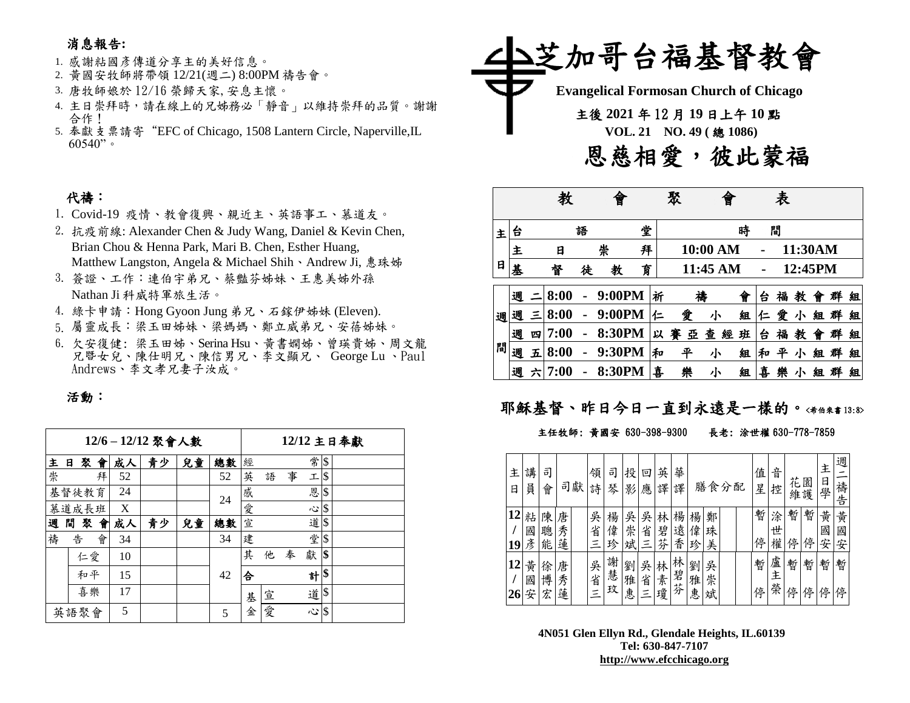### 消息報告**:**

#### 1. 感謝粘國彥傳道分享主的美好信息。

- 2. 黃國安牧師將帶領 12/21(週二) 8:00PM 禱告會。
- 3. 唐牧師娘於 12/16 榮歸天家,安息主懷。
- 4. 主日崇拜時,請在線上的兄姊務必「靜音」以維持崇拜的品質。謝謝 合作!
- 5. 奉獻支票請寄"EFC of Chicago, 1508 Lantern Circle, Naperville,IL  $60540"$

## 代禱:

- 1. Covid-19 疫情、教會復興、親近主、英語事工、慕道友。
- 2. 抗疫前線: Alexander Chen & Judy Wang, Daniel & Kevin Chen, Brian Chou & Henna Park, Mari B. Chen, Esther Huang, Matthew Langston, Angela & Michael Shih、Andrew Ji, 惠珠姊
- 3. 簽證、工作:連伯宇弟兄、蔡豔芬姊妹、王惠美姊外孫 Nathan Ji 科威特軍旅生活。
- 4. 綠卡申請:Hong Gyoon Jung 弟兄、石鎵伊姊妹 (Eleven).
- 5. 屬靈成長:梁玉田姊妹、梁媽媽、鄭立威弟兄、安蓓姊妹。
- 6. 欠安復健: 梁玉田姊、Serina Hsu、黃書嫻姊、曾瑛貴姊、周文龍 兄暨女兒、陳仕明兄、陳信男兄、李文顯兄、 George Lu 、Paul Andrews、李文孝兄妻子汝成。

### 活動:

|      |        |    |    | 12/6-12/12 聚會人數 | 12/12 主日奉獻 |    |   |   |   |   |               |  |
|------|--------|----|----|-----------------|------------|----|---|---|---|---|---------------|--|
| 主    | 聚<br>日 | 會  | 成人 | 青少              | 兒童         | 總數 | 經 |   |   | 常 | $\sqrt{3}$    |  |
| 崇    |        | 拜  | 52 |                 |            | 52 | 英 | 語 | 事 | 工 | <sup>\$</sup> |  |
|      | 基督徒教育  |    | 24 |                 |            | 24 | 感 |   |   | 恩 | \$            |  |
|      | 慕道成長班  |    | X  |                 |            |    | 愛 |   |   | 心 | $\sqrt{3}$    |  |
| 週    | 間<br>聚 | 會  | 成人 | 青少              | 兒童         | 總數 | 宣 |   |   | 道 | . \$          |  |
| 禱    | 告      | 會  | 34 |                 |            | 34 | 建 |   |   | 堂 | \$            |  |
|      | 仁愛     |    | 10 |                 |            |    | 其 | 他 | 奉 | 獻 | \$            |  |
|      | 和平     |    | 15 |                 |            | 42 | 合 |   |   | 하 | \$            |  |
|      |        | 喜樂 | 17 |                 |            |    | 基 | 宣 |   | 道 | \$            |  |
| 英語聚會 |        |    | 5  |                 |            | 5  | 金 | 愛 |   | 心 | <sup>\$</sup> |  |



|   |   |   |      |   | 曾      |   |   | 聚      |          |   |   | 表 |         |   |   |   |
|---|---|---|------|---|--------|---|---|--------|----------|---|---|---|---------|---|---|---|
| 主 | 台 |   |      | 語 |        | 堂 |   |        |          | 時 |   | 間 |         |   |   |   |
|   | 主 |   | 日    |   | 崇      | 拜 |   |        | 10:00 AM |   |   |   | 11:30AM |   |   |   |
| 日 | 基 |   | 督    | 徒 | 教      | 育 |   |        | 11:45 AM |   |   |   | 12:45PM |   |   |   |
|   | 週 |   | 8:00 |   | 9:00PM |   | 祈 | 補      |          | 會 | 台 | 福 | 教       | 曾 | 群 | 組 |
| 週 | 週 | Ξ | 8:00 |   | 9:00PM |   | 仁 | 愛      | 小        | 組 | 仁 | 愛 | 小       | 組 | 群 | 組 |
|   | 週 | 四 | 7:00 |   | 8:30PM |   | 以 | 賽<br>亞 | 查<br>經   | 班 | 台 | 福 | 教       | 曾 | 群 | 組 |
| 間 | 週 | 五 | 8:00 |   | 9:30PM |   | 和 | 平      | 小        | 組 | 和 | 平 | 小       | 組 | 群 | 組 |
|   | 週 | 六 | 7:00 |   | 8:30PM |   | 喜 | 樂      | 小        | 組 | 喜 | 樂 | 小       | 組 |   | 組 |

## 耶穌基督、昨日今日一直到永遠是一樣的。<希伯來書13:8>

#### 主任牧師: 黃國安 630-398-9300 長老: 涂世權 630-778-7859

| 主<br>日   | 講<br>員      | 司<br>會      |             | 司獻 | 領<br>詩             | 司<br>琴      | 投<br>影      | E<br>應      | 英<br>譯      | 華<br>譯      |             | 膳食分配        |  | 值<br>星 | 音<br>控      | 花      | 園<br>維護 | 主<br>日<br>學 | 週<br>禱<br>告 |
|----------|-------------|-------------|-------------|----|--------------------|-------------|-------------|-------------|-------------|-------------|-------------|-------------|--|--------|-------------|--------|---------|-------------|-------------|
| 12<br>19 | 粘<br>國<br>彥 | 陳<br>聰<br>能 | 唐<br>秀<br>蓮 |    | 吳<br>省<br>三        | 楊<br>偉<br>珍 | 吳<br>崇<br>斌 | 吳<br>省      | 林<br>碧<br>芬 | 楊<br>遠<br>香 | 楊<br>偉<br>珍 | 鄭<br>珠<br>美 |  | 暫<br>停 | 涂<br>世<br>權 | 暫<br>停 | 暫<br>停  | 黄<br>國<br>安 | 黃<br>國<br>安 |
| 12       | 黄<br>國<br>安 | 徐<br>博<br>宏 | 唐<br>秀<br>蓮 |    | 吳<br>省<br>$\equiv$ | 謝慧<br>玟     | 劉<br>雅<br>恵 | 吳<br>省<br>Ξ | 林<br>素<br>瓊 | 林<br>:碧芬    | 劉<br>雅<br>惠 | 吳<br>崇<br>斌 |  | 暫<br>停 | 盧<br>主<br>榮 | 暫<br>停 | 暫<br>停  | 暫<br>停      | 暫<br>停      |

**4N051 Glen Ellyn Rd., Glendale Heights, IL.60139 Tel: 630-847-7107 [http://www.efcchicago.org](http://www.efcchicago.org/)**